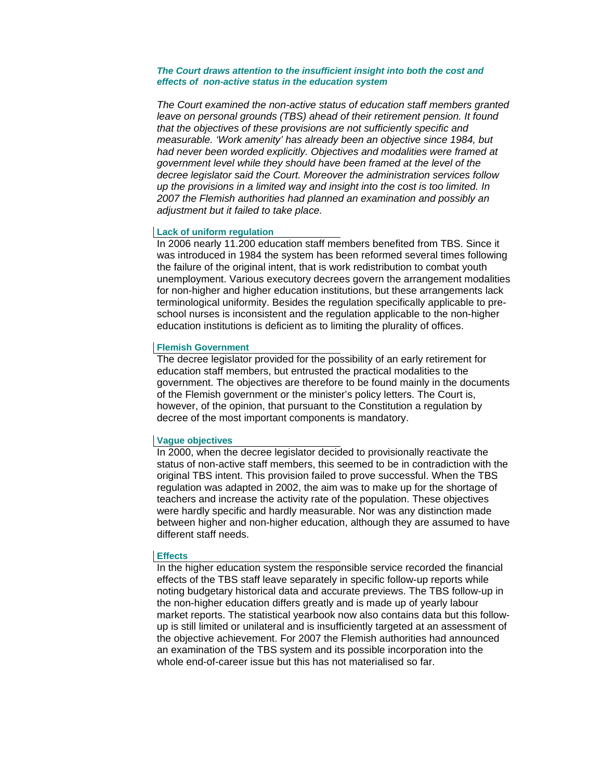### *The Court draws attention to the insufficient insight into both the cost and effects of non-active status in the education system*

*The Court examined the non-active status of education staff members granted leave on personal grounds (TBS) ahead of their retirement pension. It found that the objectives of these provisions are not sufficiently specific and measurable. 'Work amenity' has already been an objective since 1984, but had never been worded explicitly. Objectives and modalities were framed at government level while they should have been framed at the level of the decree legislator said the Court. Moreover the administration services follow up the provisions in a limited way and insight into the cost is too limited. In 2007 the Flemish authorities had planned an examination and possibly an adjustment but it failed to take place.* 

### **Lack of uniform regulation**

In 2006 nearly 11.200 education staff members benefited from TBS. Since it was introduced in 1984 the system has been reformed several times following the failure of the original intent, that is work redistribution to combat youth unemployment. Various executory decrees govern the arrangement modalities for non-higher and higher education institutions, but these arrangements lack terminological uniformity. Besides the regulation specifically applicable to preschool nurses is inconsistent and the regulation applicable to the non-higher education institutions is deficient as to limiting the plurality of offices.

#### **Flemish Government**

The decree legislator provided for the possibility of an early retirement for education staff members, but entrusted the practical modalities to the government. The objectives are therefore to be found mainly in the documents of the Flemish government or the minister's policy letters. The Court is, however, of the opinion, that pursuant to the Constitution a regulation by decree of the most important components is mandatory.

#### **Vague objectives**

In 2000, when the decree legislator decided to provisionally reactivate the status of non-active staff members, this seemed to be in contradiction with the original TBS intent. This provision failed to prove successful. When the TBS regulation was adapted in 2002, the aim was to make up for the shortage of teachers and increase the activity rate of the population. These objectives were hardly specific and hardly measurable. Nor was any distinction made between higher and non-higher education, although they are assumed to have different staff needs.

### **Effects**

In the higher education system the responsible service recorded the financial effects of the TBS staff leave separately in specific follow-up reports while noting budgetary historical data and accurate previews. The TBS follow-up in the non-higher education differs greatly and is made up of yearly labour market reports. The statistical yearbook now also contains data but this followup is still limited or unilateral and is insufficiently targeted at an assessment of the objective achievement. For 2007 the Flemish authorities had announced an examination of the TBS system and its possible incorporation into the whole end-of-career issue but this has not materialised so far.